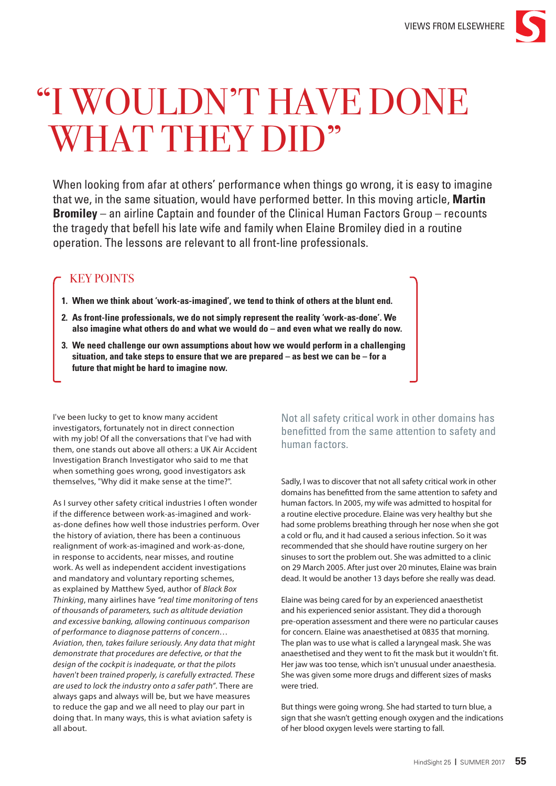

## "I WOULDN'T HAVE DONE WHAT THEY DID"

When looking from afar at others' performance when things go wrong, it is easy to imagine that we, in the same situation, would have performed better. In this moving article, **Martin Bromiley** – an airline Captain and founder of the Clinical Human Factors Group – recounts the tragedy that befell his late wife and family when Elaine Bromiley died in a routine operation. The lessons are relevant to all front-line professionals.

## KEY POINTS

- **1. When we think about 'work-as-imagined', we tend to think of others at the blunt end.**
- **2. As front-line professionals, we do not simply represent the reality 'work-as-done'. We also imagine what others do and what we would do – and even what we really do now.**
- **3. We need challenge our own assumptions about how we would perform in a challenging situation, and take steps to ensure that we are prepared – as best we can be – for a future that might be hard to imagine now.**

I've been lucky to get to know many accident investigators, fortunately not in direct connection with my job! Of all the conversations that I've had with them, one stands out above all others: a UK Air Accident Investigation Branch Investigator who said to me that when something goes wrong, good investigators ask themselves, "Why did it make sense at the time?".

As I survey other safety critical industries I often wonder if the difference between work-as-imagined and workas-done defines how well those industries perform. Over the history of aviation, there has been a continuous realignment of work-as-imagined and work-as-done, in response to accidents, near misses, and routine work. As well as independent accident investigations and mandatory and voluntary reporting schemes, as explained by Matthew Syed, author of *Black Box Thinking*, many airlines have *"real time monitoring of tens of thousands of parameters, such as altitude deviation and excessive banking, allowing continuous comparison of performance to diagnose patterns of concern… Aviation, then, takes failure seriously. Any data that might demonstrate that procedures are defective, or that the design of the cockpit is inadequate, or that the pilots haven't been trained properly, is carefully extracted. These are used to lock the industry onto a safer path"*. There are always gaps and always will be, but we have measures to reduce the gap and we all need to play our part in doing that. In many ways, this is what aviation safety is all about.

Not all safety critical work in other domains has benefitted from the same attention to safety and human factors.

Sadly, I was to discover that not all safety critical work in other domains has benefitted from the same attention to safety and human factors. In 2005, my wife was admitted to hospital for a routine elective procedure. Elaine was very healthy but she had some problems breathing through her nose when she got a cold or flu, and it had caused a serious infection. So it was recommended that she should have routine surgery on her sinuses to sort the problem out. She was admitted to a clinic on 29 March 2005. After just over 20 minutes, Elaine was brain dead. It would be another 13 days before she really was dead.

Elaine was being cared for by an experienced anaesthetist and his experienced senior assistant. They did a thorough pre-operation assessment and there were no particular causes for concern. Elaine was anaesthetised at 0835 that morning. The plan was to use what is called a laryngeal mask. She was anaesthetised and they went to fit the mask but it wouldn't fit. Her jaw was too tense, which isn't unusual under anaesthesia. She was given some more drugs and different sizes of masks were tried.

But things were going wrong. She had started to turn blue, a sign that she wasn't getting enough oxygen and the indications of her blood oxygen levels were starting to fall.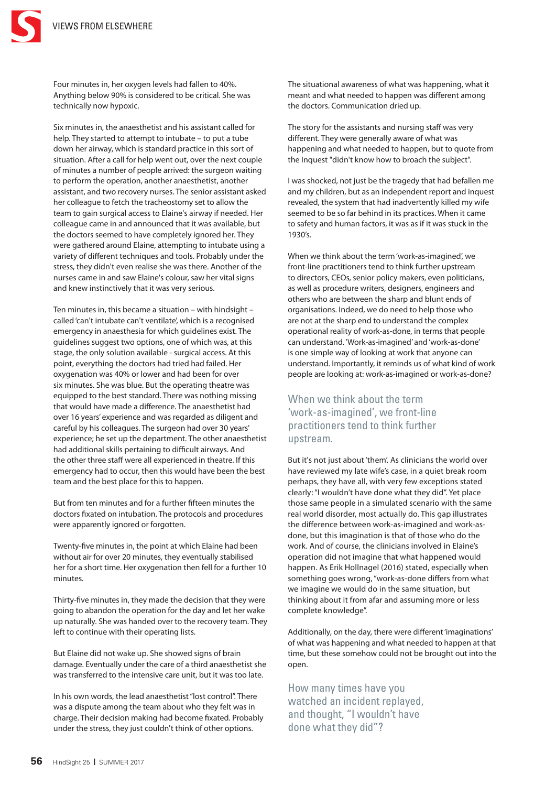

Four minutes in, her oxygen levels had fallen to 40%. Anything below 90% is considered to be critical. She was technically now hypoxic.

Six minutes in, the anaesthetist and his assistant called for help. They started to attempt to intubate – to put a tube down her airway, which is standard practice in this sort of situation. After a call for help went out, over the next couple of minutes a number of people arrived: the surgeon waiting to perform the operation, another anaesthetist, another assistant, and two recovery nurses. The senior assistant asked her colleague to fetch the tracheostomy set to allow the team to gain surgical access to Elaine's airway if needed. Her colleague came in and announced that it was available, but the doctors seemed to have completely ignored her. They were gathered around Elaine, attempting to intubate using a variety of different techniques and tools. Probably under the stress, they didn't even realise she was there. Another of the nurses came in and saw Elaine's colour, saw her vital signs and knew instinctively that it was very serious.

Ten minutes in, this became a situation – with hindsight – called 'can't intubate can't ventilate', which is a recognised emergency in anaesthesia for which guidelines exist. The guidelines suggest two options, one of which was, at this stage, the only solution available - surgical access. At this point, everything the doctors had tried had failed. Her oxygenation was 40% or lower and had been for over six minutes. She was blue. But the operating theatre was equipped to the best standard. There was nothing missing that would have made a difference. The anaesthetist had over 16 years' experience and was regarded as diligent and careful by his colleagues. The surgeon had over 30 years' experience; he set up the department. The other anaesthetist had additional skills pertaining to difficult airways. And the other three staff were all experienced in theatre. If this emergency had to occur, then this would have been the best team and the best place for this to happen.

But from ten minutes and for a further fifteen minutes the doctors fixated on intubation. The protocols and procedures were apparently ignored or forgotten.

Twenty-five minutes in, the point at which Elaine had been without air for over 20 minutes, they eventually stabilised her for a short time. Her oxygenation then fell for a further 10 minutes.

Thirty-five minutes in, they made the decision that they were going to abandon the operation for the day and let her wake up naturally. She was handed over to the recovery team. They left to continue with their operating lists.

But Elaine did not wake up. She showed signs of brain damage. Eventually under the care of a third anaesthetist she was transferred to the intensive care unit, but it was too late.

In his own words, the lead anaesthetist "lost control". There was a dispute among the team about who they felt was in charge. Their decision making had become fixated. Probably under the stress, they just couldn't think of other options.

The situational awareness of what was happening, what it meant and what needed to happen was different among the doctors. Communication dried up.

The story for the assistants and nursing staff was very different. They were generally aware of what was happening and what needed to happen, but to quote from the Inquest "didn't know how to broach the subject".

I was shocked, not just be the tragedy that had befallen me and my children, but as an independent report and inquest revealed, the system that had inadvertently killed my wife seemed to be so far behind in its practices. When it came to safety and human factors, it was as if it was stuck in the 1930's.

When we think about the term 'work-as-imagined', we front-line practitioners tend to think further upstream to directors, CEOs, senior policy makers, even politicians, as well as procedure writers, designers, engineers and others who are between the sharp and blunt ends of organisations. Indeed, we do need to help those who are not at the sharp end to understand the complex operational reality of work-as-done, in terms that people can understand. 'Work-as-imagined' and 'work-as-done' is one simple way of looking at work that anyone can understand. Importantly, it reminds us of what kind of work people are looking at: work-as-imagined or work-as-done?

## When we think about the term 'work-as-imagined', we front-line practitioners tend to think further upstream.

But it's not just about 'them'. As clinicians the world over have reviewed my late wife's case, in a quiet break room perhaps, they have all, with very few exceptions stated clearly: "I wouldn't have done what they did". Yet place those same people in a simulated scenario with the same real world disorder, most actually do. This gap illustrates the difference between work-as-imagined and work-asdone, but this imagination is that of those who do the work. And of course, the clinicians involved in Elaine's operation did not imagine that what happened would happen. As Erik Hollnagel (2016) stated, especially when something goes wrong, "work-as-done differs from what we imagine we would do in the same situation, but thinking about it from afar and assuming more or less complete knowledge".

Additionally, on the day, there were different 'imaginations' of what was happening and what needed to happen at that time, but these somehow could not be brought out into the open.

How many times have you watched an incident replayed, and thought, "I wouldn't have done what they did"?